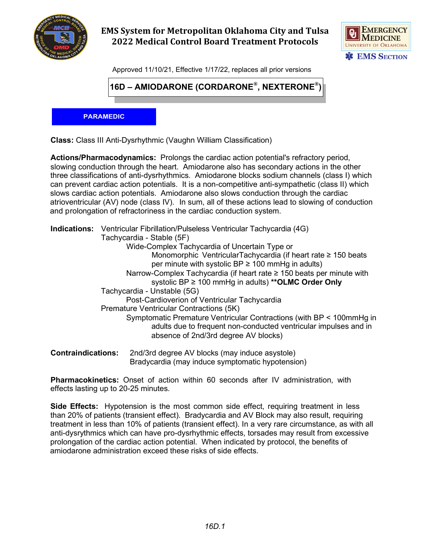

## **EMS System for Metropolitan Oklahoma City and Tulsa 2022 Medical Control Board Treatment Protocols**



Approved 11/10/21, Effective 1/17/22, replaces all prior versions

**16D – AMIODARONE (CORDARONE®, NEXTERONE®)**

**PARAMEDIC**

**Class:** Class III Anti-Dysrhythmic (Vaughn William Classification)

**Actions/Pharmacodynamics:** Prolongs the cardiac action potential's refractory period, slowing conduction through the heart. Amiodarone also has secondary actions in the other three classifications of anti-dysrhythmics. Amiodarone blocks sodium channels (class I) which can prevent cardiac action potentials. It is a non-competitive anti-sympathetic (class II) which slows cardiac action potentials. Amiodarone also slows conduction through the cardiac atrioventricular (AV) node (class IV). In sum, all of these actions lead to slowing of conduction and prolongation of refractoriness in the cardiac conduction system.

|  | <b>Indications:</b> Ventricular Fibrillation/Pulseless Ventricular Tachycardia (4G)                                                                                              |
|--|----------------------------------------------------------------------------------------------------------------------------------------------------------------------------------|
|  | Tachycardia - Stable (5F)                                                                                                                                                        |
|  | Wide-Complex Tachycardia of Uncertain Type or                                                                                                                                    |
|  | Monomorphic VentricularTachycardia (if heart rate ≥ 150 beats                                                                                                                    |
|  | per minute with systolic $BP \ge 100$ mmHg in adults)                                                                                                                            |
|  | Narrow-Complex Tachycardia (if heart rate $\geq$ 150 beats per minute with                                                                                                       |
|  | systolic BP $\geq$ 100 mmHg in adults) ** OLMC Order Only                                                                                                                        |
|  | Tachycardia - Unstable (5G)                                                                                                                                                      |
|  | Post-Cardioverion of Ventricular Tachycardia                                                                                                                                     |
|  | Premature Ventricular Contractions (5K)                                                                                                                                          |
|  | Symptomatic Premature Ventricular Contractions (with BP < 100mmHg in<br>adults due to frequent non-conducted ventricular impulses and in<br>absence of 2nd/3rd degree AV blocks) |
|  |                                                                                                                                                                                  |
|  |                                                                                                                                                                                  |

**Contraindications:** 2nd/3rd degree AV blocks (may induce asystole) Bradycardia (may induce symptomatic hypotension)

**Pharmacokinetics:** Onset of action within 60 seconds after IV administration, with effects lasting up to 20-25 minutes.

**Side Effects:** Hypotension is the most common side effect, requiring treatment in less than 20% of patients (transient effect). Bradycardia and AV Block may also result, requiring treatment in less than 10% of patients (transient effect). In a very rare circumstance, as with all anti-dysrythmics which can have pro-dysrhythmic effects, torsades may result from excessive prolongation of the cardiac action potential. When indicated by protocol, the benefits of amiodarone administration exceed these risks of side effects.